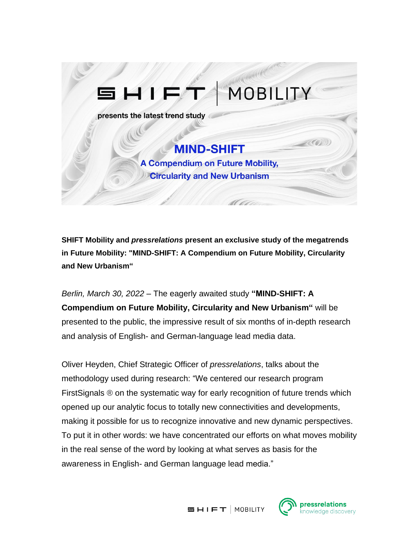

**SHIFT Mobility and** *pressrelations* **present an exclusive study of the megatrends in Future Mobility: "MIND-SHIFT: A Compendium on Future Mobility, Circularity and New Urbanism"**

*Berlin, March 30, 2022* – The eagerly awaited study **"MIND-SHIFT: A Compendium on Future Mobility, Circularity and New Urbanism"** will be presented to the public, the impressive result of six months of in-depth research and analysis of English- and German-language lead media data.

Oliver Heyden, Chief Strategic Officer of *pressrelations*, talks about the methodology used during research: "We centered our research program FirstSignals ® on the systematic way for early recognition of future trends which opened up our analytic focus to totally new connectivities and developments, making it possible for us to recognize innovative and new dynamic perspectives. To put it in other words: we have concentrated our efforts on what moves mobility in the real sense of the word by looking at what serves as basis for the awareness in English- and German language lead media."



nowledge discovery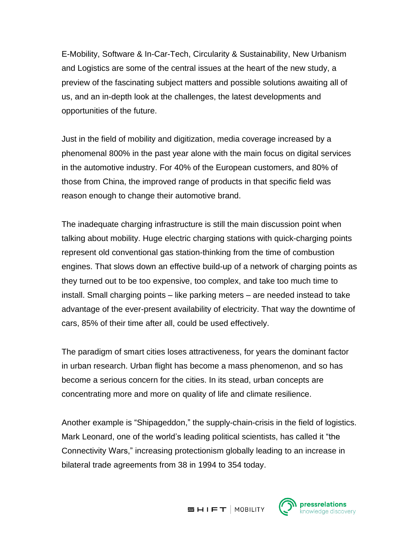E-Mobility, Software & In-Car-Tech, Circularity & Sustainability, New Urbanism and Logistics are some of the central issues at the heart of the new study, a preview of the fascinating subject matters and possible solutions awaiting all of us, and an in-depth look at the challenges, the latest developments and opportunities of the future.

Just in the field of mobility and digitization, media coverage increased by a phenomenal 800% in the past year alone with the main focus on digital services in the automotive industry. For 40% of the European customers, and 80% of those from China, the improved range of products in that specific field was reason enough to change their automotive brand.

The inadequate charging infrastructure is still the main discussion point when talking about mobility. Huge electric charging stations with quick-charging points represent old conventional gas station-thinking from the time of combustion engines. That slows down an effective build-up of a network of charging points as they turned out to be too expensive, too complex, and take too much time to install. Small charging points – like parking meters – are needed instead to take advantage of the ever-present availability of electricity. That way the downtime of cars, 85% of their time after all, could be used effectively.

The paradigm of smart cities loses attractiveness, for years the dominant factor in urban research. Urban flight has become a mass phenomenon, and so has become a serious concern for the cities. In its stead, urban concepts are concentrating more and more on quality of life and climate resilience.

Another example is "Shipageddon," the supply-chain-crisis in the field of logistics. Mark Leonard, one of the world's leading political scientists, has called it "the Connectivity Wars," increasing protectionism globally leading to an increase in bilateral trade agreements from 38 in 1994 to 354 today.